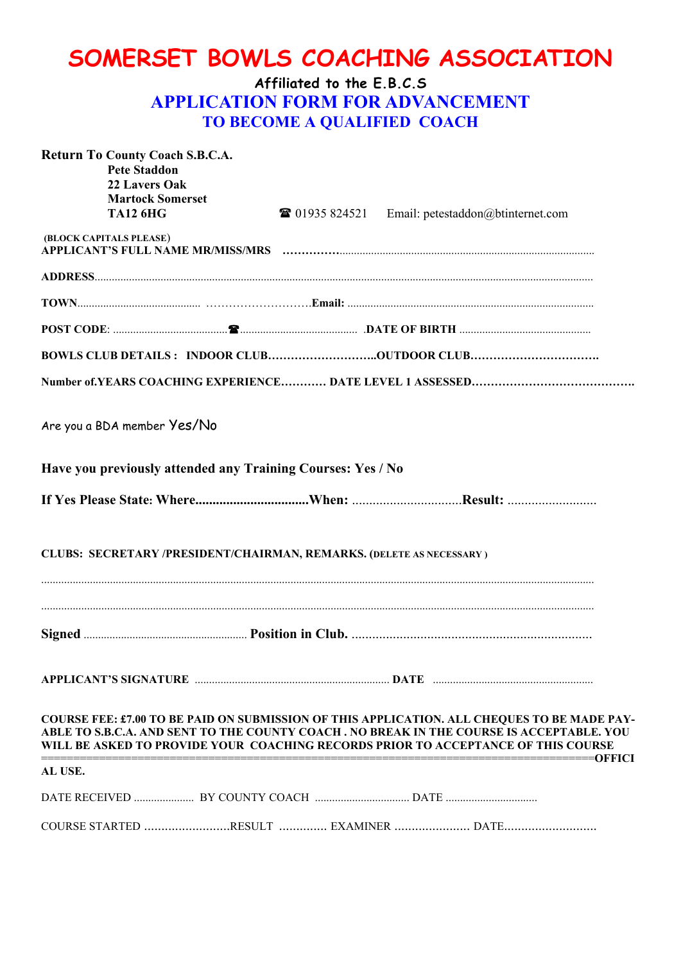## **SOMERSET BOWLS COACHING ASSOCIATION**

## **Affiliated to the E.B.C.S APPLICATION FORM FOR ADVANCEMENT TO BECOME A QUALIFIED COACH**

| Return To County Coach S.B.C.A.<br><b>Pete Staddon</b><br>22 Lavers Oak<br><b>Martock Somerset</b><br><b>TA12 6HG</b> | <sup>3</sup> 01935 824521 Email: petestaddon@btinternet.com                                                                                                                                                                                                                   |
|-----------------------------------------------------------------------------------------------------------------------|-------------------------------------------------------------------------------------------------------------------------------------------------------------------------------------------------------------------------------------------------------------------------------|
| (BLOCK CAPITALS PLEASE)                                                                                               |                                                                                                                                                                                                                                                                               |
|                                                                                                                       |                                                                                                                                                                                                                                                                               |
|                                                                                                                       |                                                                                                                                                                                                                                                                               |
|                                                                                                                       |                                                                                                                                                                                                                                                                               |
|                                                                                                                       | BOWLS CLUB DETAILS : INDOOR CLUBOUTDOOR CLUB                                                                                                                                                                                                                                  |
|                                                                                                                       |                                                                                                                                                                                                                                                                               |
| Are you a BDA member Yes/No                                                                                           |                                                                                                                                                                                                                                                                               |
| Have you previously attended any Training Courses: Yes / No                                                           |                                                                                                                                                                                                                                                                               |
|                                                                                                                       |                                                                                                                                                                                                                                                                               |
| CLUBS: SECRETARY /PRESIDENT/CHAIRMAN, REMARKS. (DELETE AS NECESSARY)                                                  |                                                                                                                                                                                                                                                                               |
|                                                                                                                       |                                                                                                                                                                                                                                                                               |
|                                                                                                                       |                                                                                                                                                                                                                                                                               |
|                                                                                                                       | COURSE FEE: £7.00 TO BE PAID ON SUBMISSION OF THIS APPLICATION. ALL CHEQUES TO BE MADE PAY-<br>ABLE TO S.B.C.A. AND SENT TO THE COUNTY COACH . NO BREAK IN THE COURSE IS ACCEPTABLE. YOU<br>WILL BE ASKED TO PROVIDE YOUR COACHING RECORDS PRIOR TO ACCEPTANCE OF THIS COURSE |
| AL USE.                                                                                                               |                                                                                                                                                                                                                                                                               |
|                                                                                                                       |                                                                                                                                                                                                                                                                               |
|                                                                                                                       | COURSE STARTED RESULT  EXAMINER  DATE                                                                                                                                                                                                                                         |